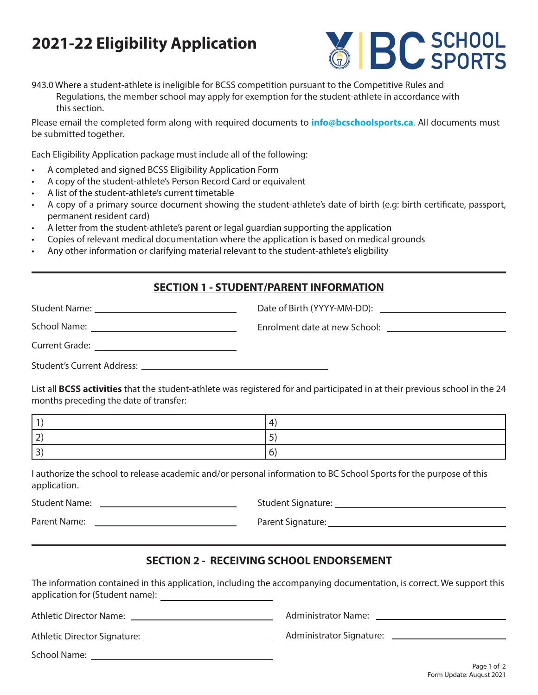# **2021-22 Eligibility Application**



943.0 Where a student-athlete is ineligible for BCSS competition pursuant to the Competitive Rules and Regulations, the member school may apply for exemption for the student-athlete in accordance with this section.

Please email the completed form along with required documents to **info@bcschoolsports.ca**. All documents must be submitted together.

Each Eligibility Application package must include all of the following:

- A completed and signed BCSS Eligibility Application Form
- A copy of the student-athlete's Person Record Card or equivalent
- A list of the student-athlete's current timetable
- A copy of a primary source document showing the student-athlete's date of birth (e.g: birth certificate, passport, permanent resident card)
- A letter from the student-athlete's parent or legal guardian supporting the application
- Copies of relevant medical documentation where the application is based on medical grounds
- Any other information or clarifying material relevant to the student-athlete's eligbility

#### **SECTION 1 - STUDENT/PARENT INFORMATION**

| Student Name: _________________________________                                              |  |
|----------------------------------------------------------------------------------------------|--|
| School Name:                                                                                 |  |
| Current Grade:<br>the control of the control of the control of the control of the control of |  |
| Student's Current Address:                                                                   |  |

List all **BCSS activities** that the student-athlete was registered for and participated in at their previous school in the 24 months preceding the date of transfer:

I authorize the school to release academic and/or personal information to BC School Sports for the purpose of this application.

Student Name: Student Signature:

Parent Name: Parent Signature:

### **SECTION 2 - RECEIVING SCHOOL ENDORSEMENT**

The information contained in this application, including the accompanying documentation, is correct. We support this application for (Student name): <u>comparent name</u>

Athletic Director Name:

Athletic Director Signature:

School Name:

Administrator Signature:

Administrator Name:

Page 1 of 2 Form Update: August 2021